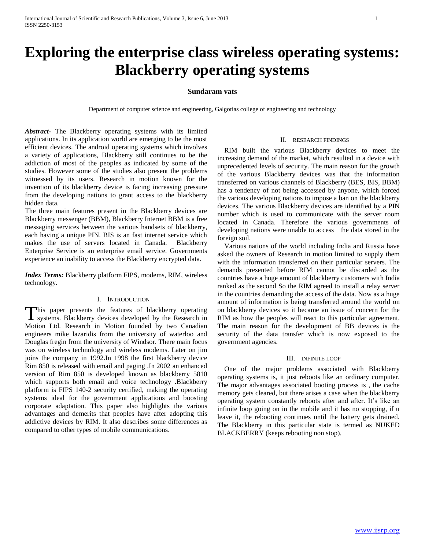# **Exploring the enterprise class wireless operating systems: Blackberry operating systems**

## **Sundaram vats**

Department of computer science and engineering, Galgotias college of engineering and technology

*Abstract***-** The Blackberry operating systems with its limited applications. In its application world are emerging to be the most efficient devices. The android operating systems which involves a variety of applications, Blackberry still continues to be the addiction of most of the peoples as indicated by some of the studies. However some of the studies also present the problems witnessed by its users. Research in motion known for the invention of its blackberry device is facing increasing pressure from the developing nations to grant access to the blackberry hidden data.

The three main features present in the Blackberry devices are Blackberry messenger (BBM), Blackberry Internet BBM is a free messaging services between the various handsets of blackberry, each having a unique PIN. BIS is an fast internet service which makes the use of servers located in Canada. Blackberry Enterprise Service is an enterprise email service. Governments experience an inability to access the Blackberry encrypted data.

*Index Terms:* Blackberry platform FIPS, modems, RIM, wireless technology.

### I. INTRODUCTION

his paper presents the features of blackberry operating This paper presents the features of blackberry operating<br>systems. Blackberry devices developed by the Research in Motion Ltd. Research in Motion founded by two Canadian engineers mike lazaridis from the university of waterloo and Douglas fregin from the university of Windsor. There main focus was on wireless technology and wireless modems. Later on jim joins the company in 1992.In 1998 the first blackberry device Rim 850 is released with email and paging .In 2002 an enhanced version of Rim 850 is developed known as blackberry 5810 which supports both email and voice technology .Blackberry platform is FIPS 140-2 security certified, making the operating systems ideal for the government applications and boosting corporate adaptation. This paper also highlights the various advantages and demerits that peoples have after adopting this addictive devices by RIM. It also describes some differences as compared to other types of mobile communications.

### II. RESEARCH FINDINGS

 RIM built the various Blackberry devices to meet the increasing demand of the market, which resulted in a device with unprecedented levels of security. The main reason for the growth of the various Blackberry devices was that the information transferred on various channels of Blackberry (BES, BIS, BBM) has a tendency of not being accessed by anyone, which forced the various developing nations to impose a ban on the blackberry devices. The various Blackberry devices are identified by a PIN number which is used to communicate with the server room located in Canada. Therefore the various governments of developing nations were unable to access the data stored in the foreign soil.

 Various nations of the world including India and Russia have asked the owners of Research in motion limited to supply them with the information transferred on their particular servers. The demands presented before RIM cannot be discarded as the countries have a huge amount of blackberry customers with India ranked as the second So the RIM agreed to install a relay server in the countries demanding the access of the data. Now as a huge amount of information is being transferred around the world on on blackberry devices so it became an issue of concern for the RIM as how the peoples will react to this particular agreement. The main reason for the development of BB devices is the security of the data transfer which is now exposed to the government agencies.

#### III. INFINITE LOOP

 One of the major problems associated with Blackberry operating systems is, it just reboots like an ordinary computer. The major advantages associated booting process is , the cache memory gets cleared, but there arises a case when the blackberry operating system constantly reboots after and after. It's like an infinite loop going on in the mobile and it has no stopping, if u leave it, the rebooting continues until the battery gets drained. The Blackberry in this particular state is termed as NUKED BLACKBERRY (keeps rebooting non stop).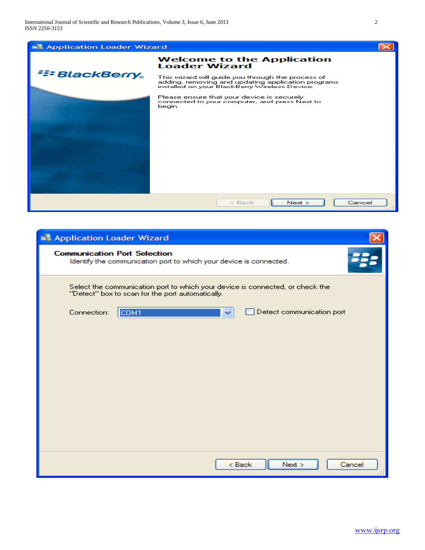

| <b>E</b> Application Loader Wizard                                                                                                |  |
|-----------------------------------------------------------------------------------------------------------------------------------|--|
| <b>Communication Port Selection</b><br>Identify the communication port to which your device is connected.                         |  |
| Select the communication port to which your device is connected, or check the<br>"Detect" box to scan for the port automatically. |  |
| Detect communication port<br>Connection:<br>COM1                                                                                  |  |
|                                                                                                                                   |  |
|                                                                                                                                   |  |
|                                                                                                                                   |  |
|                                                                                                                                   |  |
|                                                                                                                                   |  |
|                                                                                                                                   |  |
|                                                                                                                                   |  |
|                                                                                                                                   |  |
|                                                                                                                                   |  |
| Next ><br>< Back<br>Cancel                                                                                                        |  |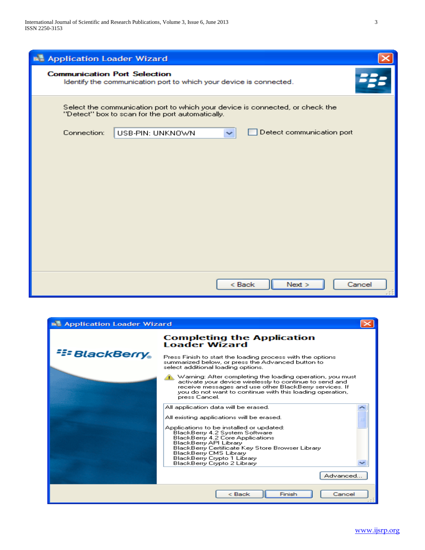| <b>B.</b> Application Loader Wizard                                                                                               |
|-----------------------------------------------------------------------------------------------------------------------------------|
| <b>Communication Port Selection</b><br>Identify the communication port to which your device is connected.                         |
| Select the communication port to which your device is connected, or check the<br>"Detect" box to scan for the port automatically. |
| Detect communication port<br>Connection:<br>USB-PIN: UNKNOWN                                                                      |
|                                                                                                                                   |
|                                                                                                                                   |
|                                                                                                                                   |
|                                                                                                                                   |
|                                                                                                                                   |
|                                                                                                                                   |
|                                                                                                                                   |
|                                                                                                                                   |
|                                                                                                                                   |
| < Back<br>Next<br>Cancel                                                                                                          |

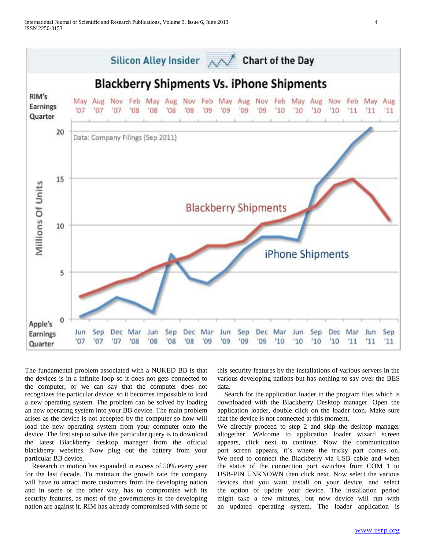

The fundamental problem associated with a NUKED BB is that the devices is in a infinite loop so it does not gets connected to the computer, or we can say that the computer does not recognizes the particular device, so it becomes impossible to load a new operating system. The problem can be solved by loading an new operating system into your BB device. The main problem arises as the device is not accepted by the computer so how will load the new operating system from your computer onto the device. The first step to solve this particular query is to download the latest Blackberry desktop manager from the official blackberry websites. Now plug out the battery from your particular BB device.

 Research in motion has expanded in excess of 50% every year for the last decade. To maintain the growth rate the company will have to attract more customers from the developing nation and in some or the other way, has to compromise with its security features, as most of the governments in the developing nation are against it. RIM has already compromised with some of

this security features by the installations of various servers in the various developing nations but has nothing to say over the BES data.

 Search for the application loader in the program files which is downloaded with the Blackberry Desktop manager. Open the application loader, double click on the loader icon. Make sure that the device is not connected at this moment.

We directly proceed to step 2 and skip the desktop manager altogether. Welcome to application loader wizard screen appears, click next to continue. Now the communication port screen appears, it's where the tricky part comes on. We need to connect the Blackberry via USB cable and when the status of the connection port switches from COM 1 to USB-PIN UNKNOWN then click next. Now select the various devices that you want install on your device, and select the option of update your device. The installation period might take a few minutes, but now device will run with an updated operating system. The loader application is